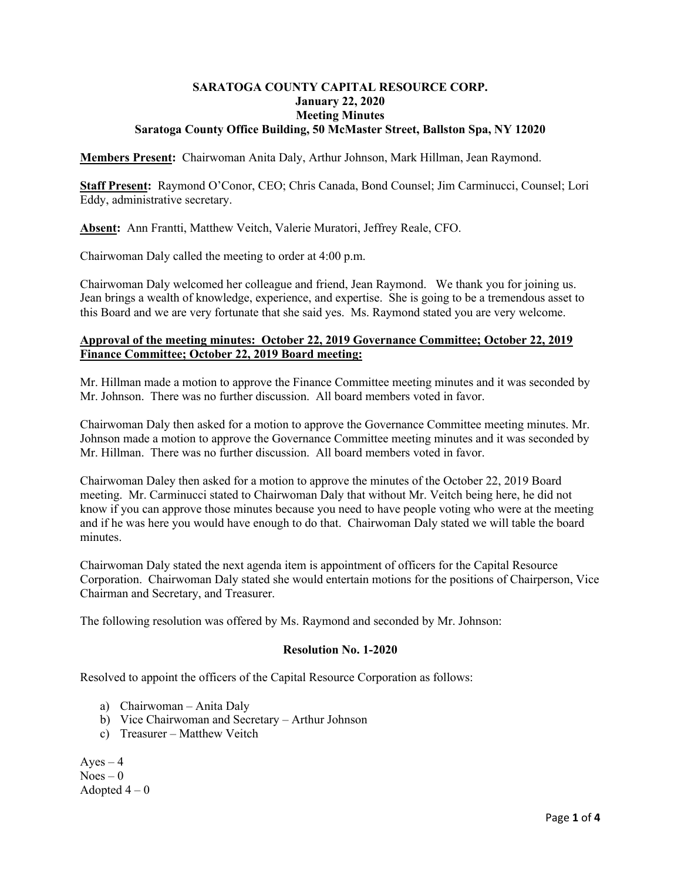## **SARATOGA COUNTY CAPITAL RESOURCE CORP. January 22, 2020 Meeting Minutes Saratoga County Office Building, 50 McMaster Street, Ballston Spa, NY 12020**

**Members Present:** Chairwoman Anita Daly, Arthur Johnson, Mark Hillman, Jean Raymond.

**Staff Present:** Raymond O'Conor, CEO; Chris Canada, Bond Counsel; Jim Carminucci, Counsel; Lori Eddy, administrative secretary.

**Absent:** Ann Frantti, Matthew Veitch, Valerie Muratori, Jeffrey Reale, CFO.

Chairwoman Daly called the meeting to order at 4:00 p.m.

Chairwoman Daly welcomed her colleague and friend, Jean Raymond. We thank you for joining us. Jean brings a wealth of knowledge, experience, and expertise. She is going to be a tremendous asset to this Board and we are very fortunate that she said yes. Ms. Raymond stated you are very welcome.

# **Approval of the meeting minutes: October 22, 2019 Governance Committee; October 22, 2019 Finance Committee; October 22, 2019 Board meeting:**

Mr. Hillman made a motion to approve the Finance Committee meeting minutes and it was seconded by Mr. Johnson. There was no further discussion. All board members voted in favor.

Chairwoman Daly then asked for a motion to approve the Governance Committee meeting minutes. Mr. Johnson made a motion to approve the Governance Committee meeting minutes and it was seconded by Mr. Hillman. There was no further discussion. All board members voted in favor.

Chairwoman Daley then asked for a motion to approve the minutes of the October 22, 2019 Board meeting. Mr. Carminucci stated to Chairwoman Daly that without Mr. Veitch being here, he did not know if you can approve those minutes because you need to have people voting who were at the meeting and if he was here you would have enough to do that. Chairwoman Daly stated we will table the board minutes.

Chairwoman Daly stated the next agenda item is appointment of officers for the Capital Resource Corporation. Chairwoman Daly stated she would entertain motions for the positions of Chairperson, Vice Chairman and Secretary, and Treasurer.

The following resolution was offered by Ms. Raymond and seconded by Mr. Johnson:

#### **Resolution No. 1-2020**

Resolved to appoint the officers of the Capital Resource Corporation as follows:

- a) Chairwoman Anita Daly
- b) Vice Chairwoman and Secretary Arthur Johnson
- c) Treasurer Matthew Veitch

 $Aves - 4$  $Noes - 0$ Adopted  $4-0$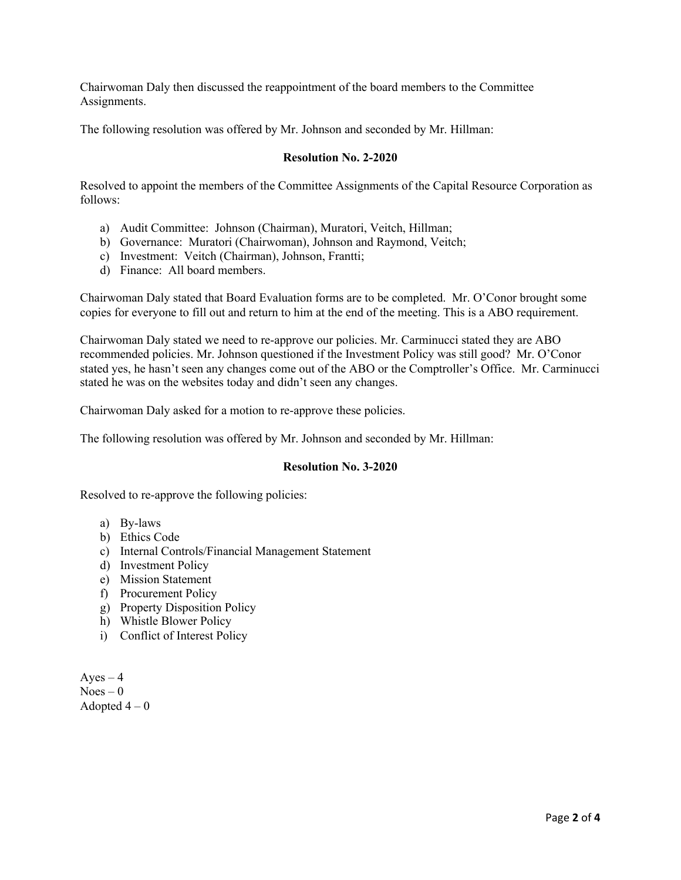Chairwoman Daly then discussed the reappointment of the board members to the Committee Assignments.

The following resolution was offered by Mr. Johnson and seconded by Mr. Hillman:

### **Resolution No. 2-2020**

Resolved to appoint the members of the Committee Assignments of the Capital Resource Corporation as follows:

- a) Audit Committee: Johnson (Chairman), Muratori, Veitch, Hillman;
- b) Governance: Muratori (Chairwoman), Johnson and Raymond, Veitch;
- c) Investment: Veitch (Chairman), Johnson, Frantti;
- d) Finance: All board members.

Chairwoman Daly stated that Board Evaluation forms are to be completed. Mr. O'Conor brought some copies for everyone to fill out and return to him at the end of the meeting. This is a ABO requirement.

Chairwoman Daly stated we need to re-approve our policies. Mr. Carminucci stated they are ABO recommended policies. Mr. Johnson questioned if the Investment Policy was still good? Mr. O'Conor stated yes, he hasn't seen any changes come out of the ABO or the Comptroller's Office. Mr. Carminucci stated he was on the websites today and didn't seen any changes.

Chairwoman Daly asked for a motion to re-approve these policies.

The following resolution was offered by Mr. Johnson and seconded by Mr. Hillman:

#### **Resolution No. 3-2020**

Resolved to re-approve the following policies:

- a) By-laws
- b) Ethics Code
- c) Internal Controls/Financial Management Statement
- d) Investment Policy
- e) Mission Statement
- f) Procurement Policy
- g) Property Disposition Policy
- h) Whistle Blower Policy
- i) Conflict of Interest Policy

 $Ayes - 4$  $Noes - 0$ Adopted  $4-0$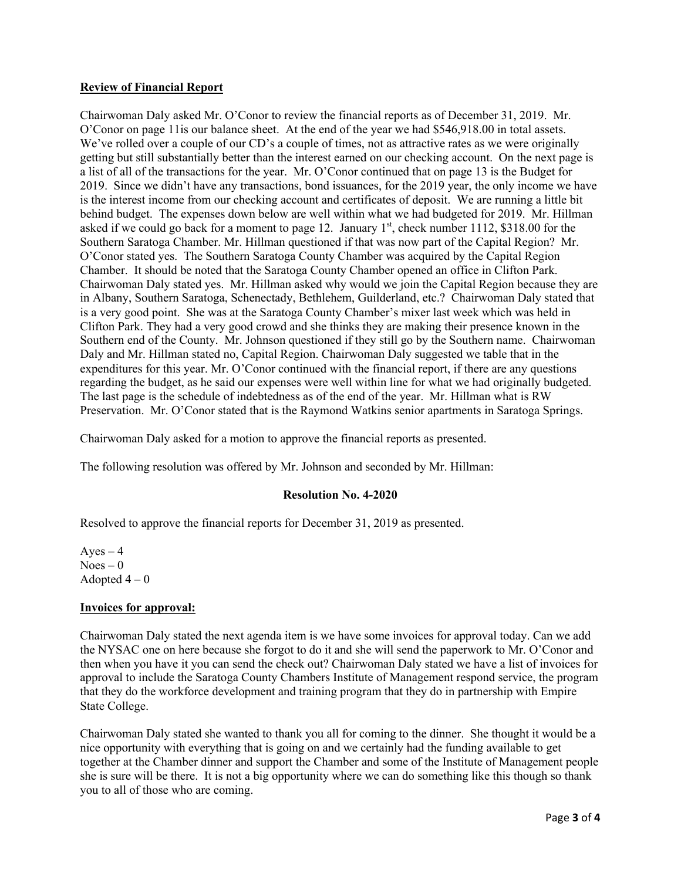# **Review of Financial Report**

Chairwoman Daly asked Mr. O'Conor to review the financial reports as of December 31, 2019. Mr. O'Conor on page 11is our balance sheet. At the end of the year we had \$546,918.00 in total assets. We've rolled over a couple of our CD's a couple of times, not as attractive rates as we were originally getting but still substantially better than the interest earned on our checking account. On the next page is a list of all of the transactions for the year. Mr. O'Conor continued that on page 13 is the Budget for 2019. Since we didn't have any transactions, bond issuances, for the 2019 year, the only income we have is the interest income from our checking account and certificates of deposit. We are running a little bit behind budget. The expenses down below are well within what we had budgeted for 2019. Mr. Hillman asked if we could go back for a moment to page 12. January  $1<sup>st</sup>$ , check number 1112, \$318.00 for the Southern Saratoga Chamber. Mr. Hillman questioned if that was now part of the Capital Region? Mr. O'Conor stated yes. The Southern Saratoga County Chamber was acquired by the Capital Region Chamber. It should be noted that the Saratoga County Chamber opened an office in Clifton Park. Chairwoman Daly stated yes. Mr. Hillman asked why would we join the Capital Region because they are in Albany, Southern Saratoga, Schenectady, Bethlehem, Guilderland, etc.? Chairwoman Daly stated that is a very good point. She was at the Saratoga County Chamber's mixer last week which was held in Clifton Park. They had a very good crowd and she thinks they are making their presence known in the Southern end of the County. Mr. Johnson questioned if they still go by the Southern name. Chairwoman Daly and Mr. Hillman stated no, Capital Region. Chairwoman Daly suggested we table that in the expenditures for this year. Mr. O'Conor continued with the financial report, if there are any questions regarding the budget, as he said our expenses were well within line for what we had originally budgeted. The last page is the schedule of indebtedness as of the end of the year. Mr. Hillman what is RW Preservation. Mr. O'Conor stated that is the Raymond Watkins senior apartments in Saratoga Springs.

Chairwoman Daly asked for a motion to approve the financial reports as presented.

The following resolution was offered by Mr. Johnson and seconded by Mr. Hillman:

#### **Resolution No. 4-2020**

Resolved to approve the financial reports for December 31, 2019 as presented.

 $Ayes - 4$  $Noes - 0$ Adopted  $4-0$ 

#### **Invoices for approval:**

Chairwoman Daly stated the next agenda item is we have some invoices for approval today. Can we add the NYSAC one on here because she forgot to do it and she will send the paperwork to Mr. O'Conor and then when you have it you can send the check out? Chairwoman Daly stated we have a list of invoices for approval to include the Saratoga County Chambers Institute of Management respond service, the program that they do the workforce development and training program that they do in partnership with Empire State College.

Chairwoman Daly stated she wanted to thank you all for coming to the dinner. She thought it would be a nice opportunity with everything that is going on and we certainly had the funding available to get together at the Chamber dinner and support the Chamber and some of the Institute of Management people she is sure will be there. It is not a big opportunity where we can do something like this though so thank you to all of those who are coming.